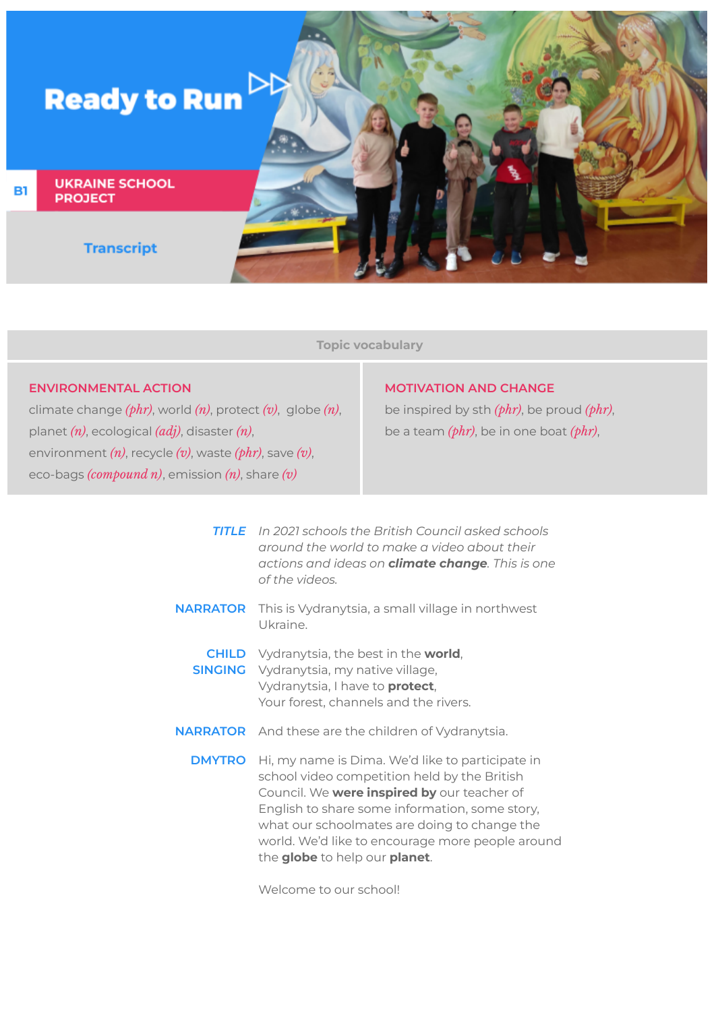

**Topic vocabulary**

## **ENVIRONMENTAL ACTION**

climate change *(phr)*, world *(n)*, protect *(v)*, globe *(n)*, planet *(n)*, ecological *(adj)*, disaster *(n)*, environment *(n)*, recycle *(v)*, waste *(phr)*, save *(v)*, eco-bags *(compound n)*, emission *(n)*, share *(v)*

## **MOTIVATION AND CHANGE**

be inspired by sth *(phr)*, be proud *(phr)*, be a team *(phr)*, be in one boat *(phr)*,

*TITLE In 2021 schools the British Council asked schools around the world to make a video about their actions and ideas on climate change. This is one of the videos.* **NARRATOR** This is Vydranytsia, a small village in northwest Ukraine. **CHILD** Vydranytsia, the best in the **world**, **SINGING** Vydranytsia, my native village, Vydranytsia, I have to **protect**, Your forest, channels and the rivers. **NARRATOR** And these are the children of Vydranytsia. **DMYTRO** Hi, my name is Dima. We'd like to participate in school video competition held by the British Council. We **were inspired by** our teacher of English to share some information, some story, what our schoolmates are doing to change the world. We'd like to encourage more people around the **globe** to help our **planet**.

Welcome to our school!